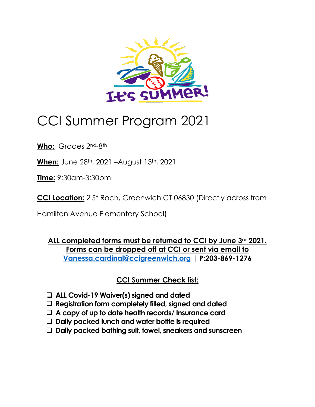

# CCI Summer Program 2021

**Who:** Grades 2nd-8th

**When:** June 28th, 2021 –August 13th, 2021

**Time:** 9:30am-3:30pm

**CCI Location:** 2 St Roch, Greenwich CT 06830 (Directly across from

Hamilton Avenue Elementary School)

**ALL completed forms must be returned to CCI by June 3rd 2021. Forms can be dropped off at CCI or sent via email to [Vanessa.cardinal@ccigreenwich.org](mailto:Vanessa.cardinal@ccigreenwich.org) | P:203-869-1276**

**CCI Summer Check list:**

- ❑ **ALL Covid-19 Waiver(s) signed and dated**
- ❑ **Registration form completely filled, signed and dated**
- ❑ **A copy of up to date health records/ Insurance card**
- ❑ **Daily packed lunch and water bottle is required**
- ❑ **Daily packed bathing suit, towel, sneakers and sunscreen**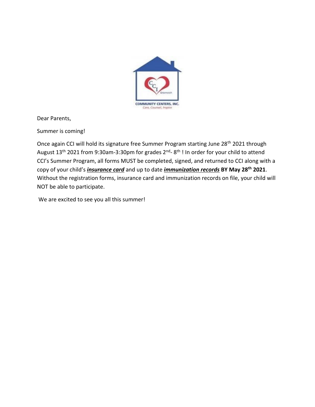

Dear Parents,

Summer is coming!

Once again CCI will hold its signature free Summer Program starting June 28<sup>th</sup> 2021 through August 13<sup>th</sup> 2021 from 9:30am-3:30pm for grades 2<sup>nd</sup>-8<sup>th</sup>! In order for your child to attend CCI's Summer Program, all forms MUST be completed, signed, and returned to CCI along with a copy of your child's *insurance card* and up to date *immunization records* **BY May 28th 2021**. Without the registration forms, insurance card and immunization records on file, your child will NOT be able to participate.

We are excited to see you all this summer!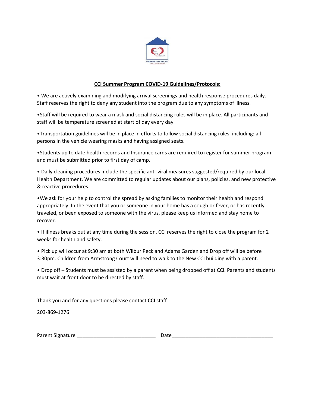

### **CCI Summer Program COVID-19 Guidelines/Protocols:**

• We are actively examining and modifying arrival screenings and health response procedures daily. Staff reserves the right to deny any student into the program due to any symptoms of illness.

•Staff will be required to wear a mask and social distancing rules will be in place. All participants and staff will be temperature screened at start of day every day.

•Transportation guidelines will be in place in efforts to follow social distancing rules, including: all persons in the vehicle wearing masks and having assigned seats.

•Students up to date health records and Insurance cards are required to register for summer program and must be submitted prior to first day of camp.

• Daily cleaning procedures include the specific anti-viral measures suggested/required by our local Health Department. We are committed to regular updates about our plans, policies, and new protective & reactive procedures.

•We ask for your help to control the spread by asking families to monitor their health and respond appropriately. In the event that you or someone in your home has a cough or fever, or has recently traveled, or been exposed to someone with the virus, please keep us informed and stay home to recover.

• If illness breaks out at any time during the session, CCI reserves the right to close the program for 2 weeks for health and safety.

• Pick up will occur at 9:30 am at both Wilbur Peck and Adams Garden and Drop off will be before 3:30pm. Children from Armstrong Court will need to walk to the New CCI building with a parent.

• Drop off – Students must be assisted by a parent when being dropped off at CCI. Parents and students must wait at front door to be directed by staff.

Thank you and for any questions please contact CCI staff

203-869-1276

| Parent Signature | au va |
|------------------|-------|
|                  |       |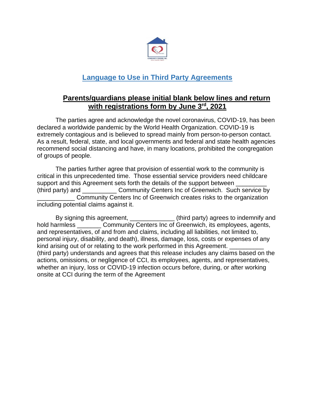

# **Language to Use in Third Party Agreements**

## **Parents/guardians please initial blank below lines and return with registrations form by June 3 rd, 2021**

The parties agree and acknowledge the novel coronavirus, COVID-19, has been declared a worldwide pandemic by the World Health Organization. COVID-19 is extremely contagious and is believed to spread mainly from person-to-person contact. As a result, federal, state, and local governments and federal and state health agencies recommend social distancing and have, in many locations, prohibited the congregation of groups of people.

The parties further agree that provision of essential work to the community is critical in this unprecedented time. Those essential service providers need childcare support and this Agreement sets forth the details of the support between (third party) and Community Centers Inc of Greenwich. Such service by \_\_\_\_\_\_\_\_\_\_\_ Community Centers Inc of Greenwich creates risks to the organization including potential claims against it.

By signing this agreement, \_\_\_\_\_\_\_\_\_\_\_\_\_\_\_\_(third party) agrees to indemnify and hold harmless \_\_\_\_\_\_\_\_\_ Community Centers Inc of Greenwich, its employees, agents, and representatives, of and from and claims, including all liabilities, not limited to, personal injury, disability, and death), illness, damage, loss, costs or expenses of any kind arising out of or relating to the work performed in this Agreement. (third party) understands and agrees that this release includes any claims based on the actions, omissions, or negligence of CCI, its employees, agents, and representatives, whether an injury, loss or COVID-19 infection occurs before, during, or after working onsite at CCI during the term of the Agreement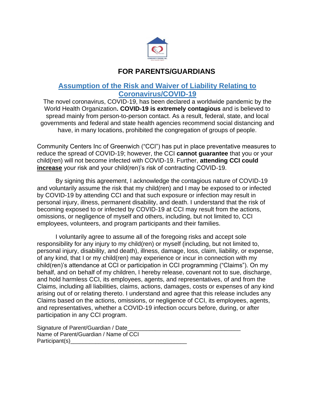

## **FOR PARENTS/GUARDIANS**

## **Assumption of the Risk and Waiver of Liability Relating to Coronavirus/COVID-19**

The novel coronavirus, COVID-19, has been declared a worldwide pandemic by the World Health Organization**. COVID-19 is extremely contagious** and is believed to spread mainly from person-to-person contact. As a result, federal, state, and local governments and federal and state health agencies recommend social distancing and have, in many locations, prohibited the congregation of groups of people.

Community Centers Inc of Greenwich ("CCI") has put in place preventative measures to reduce the spread of COVID-19; however, the CCI **cannot guarantee** that you or your child(ren) will not become infected with COVID-19. Further, **attending CCI could increase** your risk and your child(ren)'s risk of contracting COVID-19.

By signing this agreement, I acknowledge the contagious nature of COVID-19 and voluntarily assume the risk that my child(ren) and I may be exposed to or infected by COVID-19 by attending CCI and that such exposure or infection may result in personal injury, illness, permanent disability, and death. I understand that the risk of becoming exposed to or infected by COVID-19 at CCI may result from the actions, omissions, or negligence of myself and others, including, but not limited to, CCI employees, volunteers, and program participants and their families.

I voluntarily agree to assume all of the foregoing risks and accept sole responsibility for any injury to my child(ren) or myself (including, but not limited to, personal injury, disability, and death), illness, damage, loss, claim, liability, or expense, of any kind, that I or my child(ren) may experience or incur in connection with my child(ren)'s attendance at CCI or participation in CCI programming ("Claims"). On my behalf, and on behalf of my children, I hereby release, covenant not to sue, discharge, and hold harmless CCI, its employees, agents, and representatives, of and from the Claims, including all liabilities, claims, actions, damages, costs or expenses of any kind arising out of or relating thereto. I understand and agree that this release includes any Claims based on the actions, omissions, or negligence of CCI, its employees, agents, and representatives, whether a COVID-19 infection occurs before, during, or after participation in any CCI program.

Signature of Parent/Guardian / Date Name of Parent/Guardian / Name of CCI Participant(s)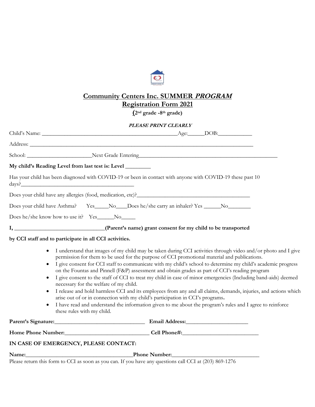

## **Community Centers Inc. SUMMER PROGRAM Registration Form 2021**

**(2nd grade -8th grade)**

#### **PLEASE PRINT CLEARLY**

| My child's Reading Level from last test is: Level ________                                                  |                                                                                                                                                                                                                                                                                                                                                                                                                                                                                                                                                                                                                                                                                                                                                                                                                                                                     |
|-------------------------------------------------------------------------------------------------------------|---------------------------------------------------------------------------------------------------------------------------------------------------------------------------------------------------------------------------------------------------------------------------------------------------------------------------------------------------------------------------------------------------------------------------------------------------------------------------------------------------------------------------------------------------------------------------------------------------------------------------------------------------------------------------------------------------------------------------------------------------------------------------------------------------------------------------------------------------------------------|
| days?                                                                                                       | Has your child has been diagnosed with COVID-19 or been in contact with anyone with COVID-19 these past 10                                                                                                                                                                                                                                                                                                                                                                                                                                                                                                                                                                                                                                                                                                                                                          |
|                                                                                                             |                                                                                                                                                                                                                                                                                                                                                                                                                                                                                                                                                                                                                                                                                                                                                                                                                                                                     |
|                                                                                                             | Does your child have Asthma? Yes____No___Does he/she carry an inhaler? Yes _____No________                                                                                                                                                                                                                                                                                                                                                                                                                                                                                                                                                                                                                                                                                                                                                                          |
| Does he/she know how to use it? Yes_____No_____                                                             |                                                                                                                                                                                                                                                                                                                                                                                                                                                                                                                                                                                                                                                                                                                                                                                                                                                                     |
|                                                                                                             | I, _________________________________(Parent's name) grant consent for my child to be transported                                                                                                                                                                                                                                                                                                                                                                                                                                                                                                                                                                                                                                                                                                                                                                    |
| by CCI staff and to participate in all CCI activities.                                                      |                                                                                                                                                                                                                                                                                                                                                                                                                                                                                                                                                                                                                                                                                                                                                                                                                                                                     |
| $\bullet$<br>$\bullet$<br>necessary for the welfare of my child.<br>$\bullet$<br>these rules with my child. | I understand that images of my child may be taken during CCI activities through video and/or photo and I give<br>permission for them to be used for the purpose of CCI promotional material and publications.<br>I give consent for CCI staff to communicate with my child's school to determine my child's academic progress<br>on the Fountas and Pinnell (F&P) assessment and obtain grades as part of CCI's reading program<br>I give consent to the staff of CCI to treat my child in case of minor emergencies (Including band-aids) deemed<br>I release and hold harmless CCI and its employees from any and all claims, demands, injuries, and actions which<br>arise out of or in connection with my child's participation in CCI's programs.<br>I have read and understand the information given to me about the program's rules and I agree to reinforce |
|                                                                                                             |                                                                                                                                                                                                                                                                                                                                                                                                                                                                                                                                                                                                                                                                                                                                                                                                                                                                     |
|                                                                                                             | Home Phone Number:<br>Cell Phone#:<br>Cell Phone#:                                                                                                                                                                                                                                                                                                                                                                                                                                                                                                                                                                                                                                                                                                                                                                                                                  |
| IN CASE OF EMERGENCY, PLEASE CONTACT:                                                                       |                                                                                                                                                                                                                                                                                                                                                                                                                                                                                                                                                                                                                                                                                                                                                                                                                                                                     |
| Name:                                                                                                       | Phone Number:                                                                                                                                                                                                                                                                                                                                                                                                                                                                                                                                                                                                                                                                                                                                                                                                                                                       |

Please return this form to CCI as soon as you can. If you have any questions call CCI at (203) 869-1276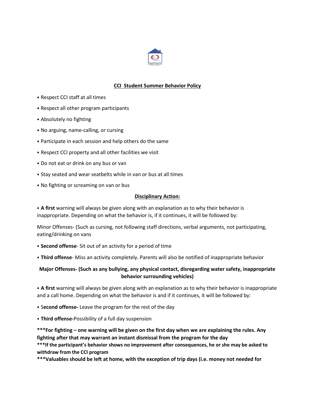

### **CCI Student Summer Behavior Policy**

- ⦁ Respect CCI staff at all times
- ⦁ Respect all other program participants
- ⦁ Absolutely no fighting
- ⦁ No arguing, name-calling, or cursing
- ⦁ Participate in each session and help others do the same
- ⦁ Respect CCI property and all other facilities we visit
- ⦁ Do not eat or drink on any bus or van
- ⦁ Stay seated and wear seatbelts while in van or bus at all times
- ⦁ No fighting or screaming on van or bus

#### **Disciplinary Action:**

⦁ **A first** warning will always be given along with an explanation as to why their behavior is inappropriate. Depending on what the behavior is, if it continues, it will be followed by:

Minor Offenses- (Such as cursing, not following staff directions, verbal arguments, not participating, eating/drinking on vans

- ⦁ **Second offense** Sit out of an activity for a period of time
- ⦁ **Third offense** Miss an activity completely. Parents will also be notified of inappropriate behavior

## **Major Offenses- (Such as any bullying, any physical contact, disregarding water safety, inappropriate behavior surrounding vehicles)**

⦁ **A first** warning will always be given along with an explanation as to why their behavior is inappropriate and a call home. Depending on what the behavior is and if it continues, it will be followed by:

- ⦁ S**econd offense-** Leave the program for the rest of the day
- ⦁ **Third offense-**Possibility of a full day suspension

**\*\*\*For fighting – one warning will be given on the first day when we are explaining the rules. Any fighting after that may warrant an instant dismissal from the program for the day**

**\*\*\*If the participant's behavior shows no improvement after consequences, he or she may be asked to withdraw from the CCI program**

**\*\*\*Valuables should be left at home, with the exception of trip days (i.e. money not needed for**